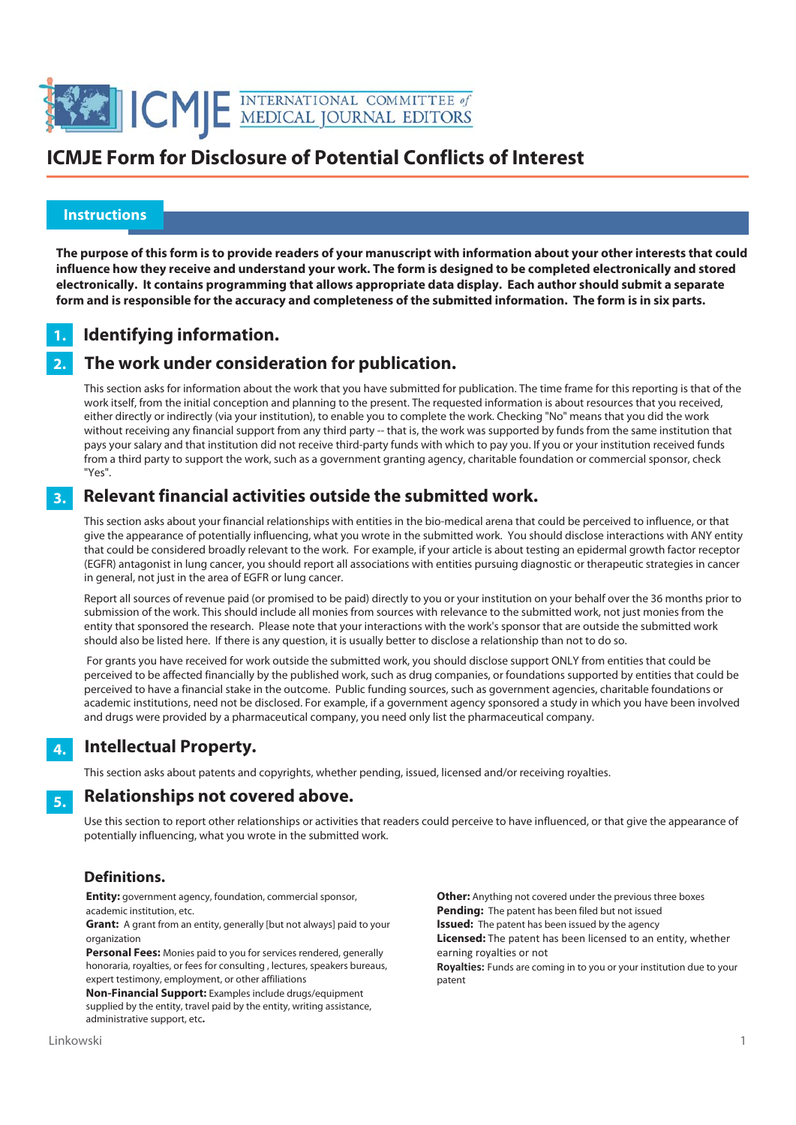

### **Instructions**

 l

> **The purpose of this form is to provide readers of your manuscript with information about your other interests that could influence how they receive and understand your work. The form is designed to be completed electronically and stored electronically. It contains programming that allows appropriate data display. Each author should submit a separate form and is responsible for the accuracy and completeness of the submitted information. The form is in six parts.**

#### **Identifying information. 1.**

#### **The work under consideration for publication. 2.**

This section asks for information about the work that you have submitted for publication. The time frame for this reporting is that of the work itself, from the initial conception and planning to the present. The requested information is about resources that you received, either directly or indirectly (via your institution), to enable you to complete the work. Checking "No" means that you did the work without receiving any financial support from any third party -- that is, the work was supported by funds from the same institution that pays your salary and that institution did not receive third-party funds with which to pay you. If you or your institution received funds from a third party to support the work, such as a government granting agency, charitable foundation or commercial sponsor, check "Yes".

#### **Relevant financial activities outside the submitted work. 3.**

This section asks about your financial relationships with entities in the bio-medical arena that could be perceived to influence, or that give the appearance of potentially influencing, what you wrote in the submitted work. You should disclose interactions with ANY entity that could be considered broadly relevant to the work. For example, if your article is about testing an epidermal growth factor receptor (EGFR) antagonist in lung cancer, you should report all associations with entities pursuing diagnostic or therapeutic strategies in cancer in general, not just in the area of EGFR or lung cancer.

Report all sources of revenue paid (or promised to be paid) directly to you or your institution on your behalf over the 36 months prior to submission of the work. This should include all monies from sources with relevance to the submitted work, not just monies from the entity that sponsored the research. Please note that your interactions with the work's sponsor that are outside the submitted work should also be listed here. If there is any question, it is usually better to disclose a relationship than not to do so.

 For grants you have received for work outside the submitted work, you should disclose support ONLY from entities that could be perceived to be affected financially by the published work, such as drug companies, or foundations supported by entities that could be perceived to have a financial stake in the outcome. Public funding sources, such as government agencies, charitable foundations or academic institutions, need not be disclosed. For example, if a government agency sponsored a study in which you have been involved and drugs were provided by a pharmaceutical company, you need only list the pharmaceutical company.

#### **Intellectual Property. 4.**

This section asks about patents and copyrights, whether pending, issued, licensed and/or receiving royalties.

#### **Relationships not covered above. 5.**

Use this section to report other relationships or activities that readers could perceive to have influenced, or that give the appearance of potentially influencing, what you wrote in the submitted work.

patent

### **Definitions.**

**Entity:** government agency, foundation, commercial sponsor, academic institution, etc.

**Grant:** A grant from an entity, generally [but not always] paid to your organization

**Personal Fees:** Monies paid to you for services rendered, generally honoraria, royalties, or fees for consulting , lectures, speakers bureaus, expert testimony, employment, or other affiliations

**Non-Financial Support:** Examples include drugs/equipment supplied by the entity, travel paid by the entity, writing assistance, administrative support, etc**.**

**Other:** Anything not covered under the previous three boxes **Pending:** The patent has been filed but not issued **Issued:** The patent has been issued by the agency **Licensed:** The patent has been licensed to an entity, whether earning royalties or not **Royalties:** Funds are coming in to you or your institution due to your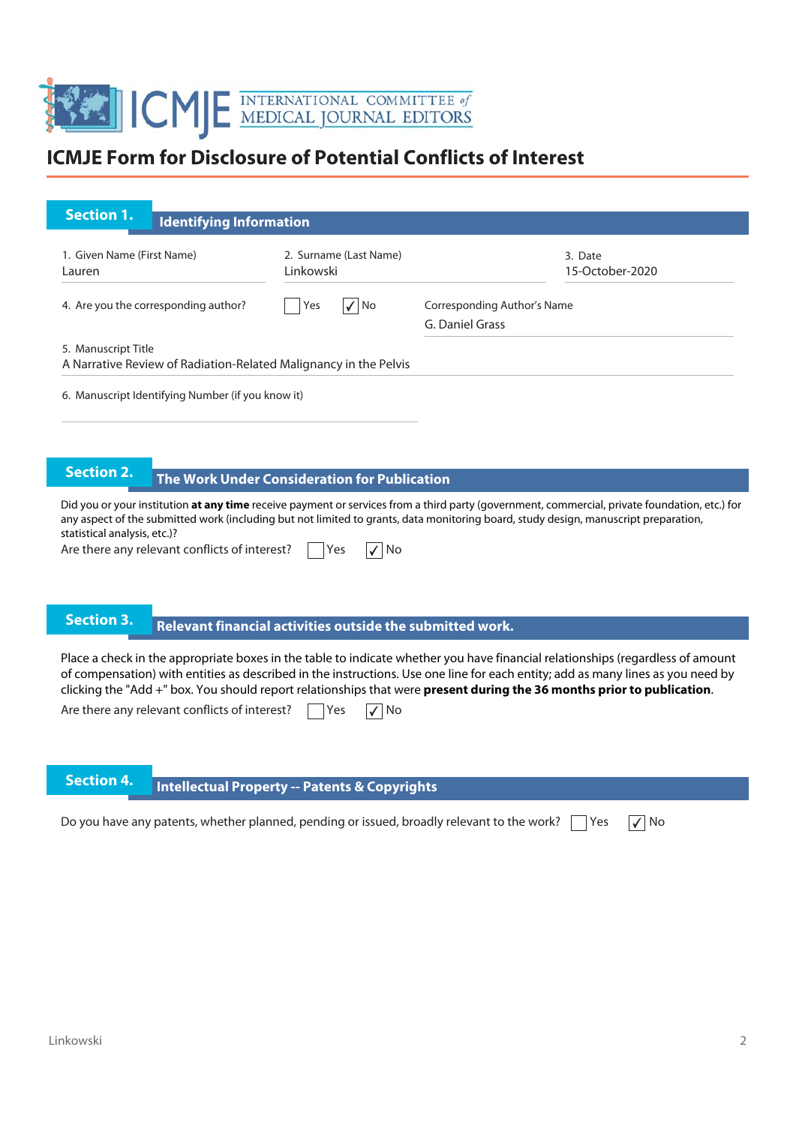

| <b>Section 1.</b>                                                                                                                                                                                                                                                                                                                                                                                                                                         | <b>Identifying Information</b>                    |                                                           |                                                                                                                                |  |  |  |
|-----------------------------------------------------------------------------------------------------------------------------------------------------------------------------------------------------------------------------------------------------------------------------------------------------------------------------------------------------------------------------------------------------------------------------------------------------------|---------------------------------------------------|-----------------------------------------------------------|--------------------------------------------------------------------------------------------------------------------------------|--|--|--|
| 1. Given Name (First Name)<br>Lauren                                                                                                                                                                                                                                                                                                                                                                                                                      |                                                   | 2. Surname (Last Name)<br>I inkowski                      | 3. Date<br>15-October-2020                                                                                                     |  |  |  |
| 4. Are you the corresponding author?                                                                                                                                                                                                                                                                                                                                                                                                                      |                                                   | Yes<br>$\sqrt{N}$                                         | Corresponding Author's Name<br>G. Daniel Grass                                                                                 |  |  |  |
| 5. Manuscript Title<br>A Narrative Review of Radiation-Related Malignancy in the Pelvis                                                                                                                                                                                                                                                                                                                                                                   |                                                   |                                                           |                                                                                                                                |  |  |  |
|                                                                                                                                                                                                                                                                                                                                                                                                                                                           | 6. Manuscript Identifying Number (if you know it) |                                                           |                                                                                                                                |  |  |  |
|                                                                                                                                                                                                                                                                                                                                                                                                                                                           |                                                   |                                                           |                                                                                                                                |  |  |  |
| <b>Section 2.</b>                                                                                                                                                                                                                                                                                                                                                                                                                                         |                                                   | The Work Under Consideration for Publication              |                                                                                                                                |  |  |  |
| Did you or your institution at any time receive payment or services from a third party (government, commercial, private foundation, etc.) for<br>any aspect of the submitted work (including but not limited to grants, data monitoring board, study design, manuscript preparation,<br>statistical analysis, etc.)?<br>Are there any relevant conflicts of interest?<br>No<br>Yes                                                                        |                                                   |                                                           |                                                                                                                                |  |  |  |
| <b>Section 3.</b>                                                                                                                                                                                                                                                                                                                                                                                                                                         |                                                   | Relevant financial activities outside the submitted work. |                                                                                                                                |  |  |  |
| Place a check in the appropriate boxes in the table to indicate whether you have financial relationships (regardless of amount<br>of compensation) with entities as described in the instructions. Use one line for each entity; add as many lines as you need by<br>clicking the "Add +" box. You should report relationships that were present during the 36 months prior to publication.<br>Are there any relevant conflicts of interest?<br>No<br>Yes |                                                   |                                                           |                                                                                                                                |  |  |  |
| <b>Section 4.</b>                                                                                                                                                                                                                                                                                                                                                                                                                                         |                                                   | <b>Intellectual Property -- Patents &amp; Copyrights</b>  |                                                                                                                                |  |  |  |
|                                                                                                                                                                                                                                                                                                                                                                                                                                                           |                                                   |                                                           | Do you have any patents, whether planned, pending or issued, broadly relevant to the work?<br>$\checkmark$<br><b>No</b><br>Yes |  |  |  |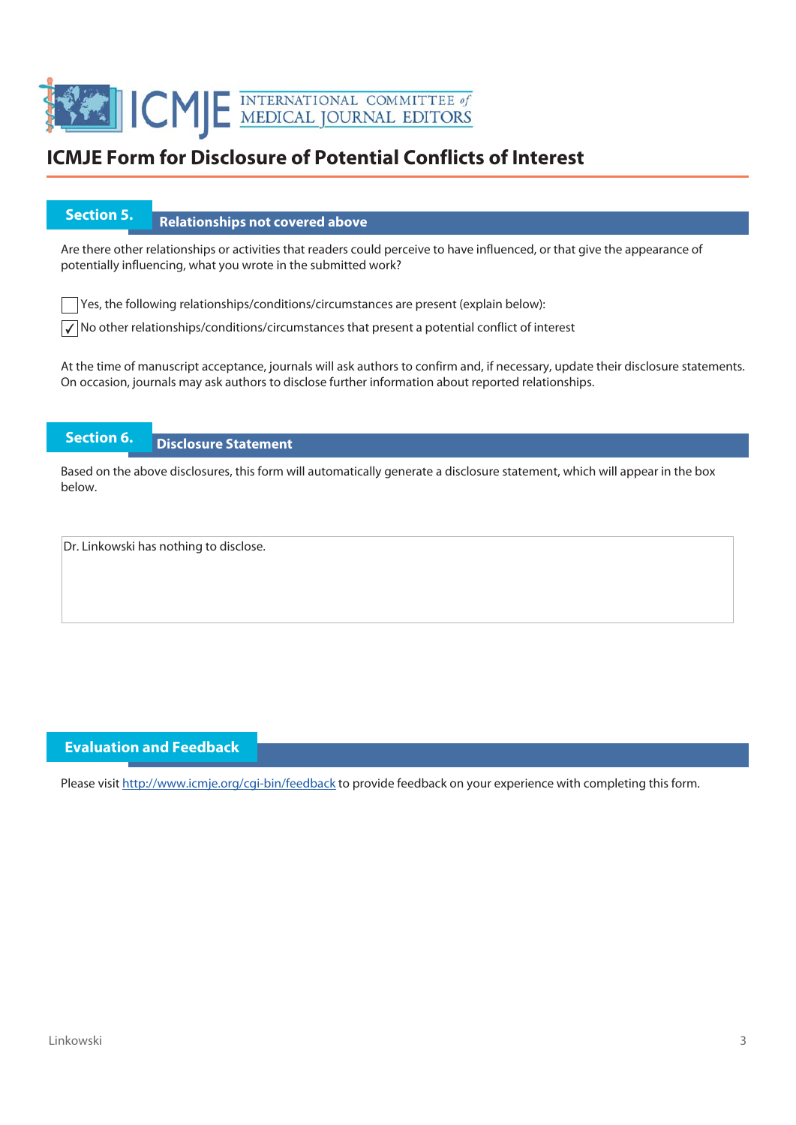

## **Section 5.** Relationships not covered above

Are there other relationships or activities that readers could perceive to have influenced, or that give the appearance of potentially influencing, what you wrote in the submitted work?

 $\Box$  Yes, the following relationships/conditions/circumstances are present (explain below):

 $\sqrt{\phantom{a}}$  No other relationships/conditions/circumstances that present a potential conflict of interest

At the time of manuscript acceptance, journals will ask authors to confirm and, if necessary, update their disclosure statements. On occasion, journals may ask authors to disclose further information about reported relationships.

## **Disclosure Statement Section 6.**

Based on the above disclosures, this form will automatically generate a disclosure statement, which will appear in the box below.

Dr. Linkowski has nothing to disclose.

### **Evaluation and Feedback**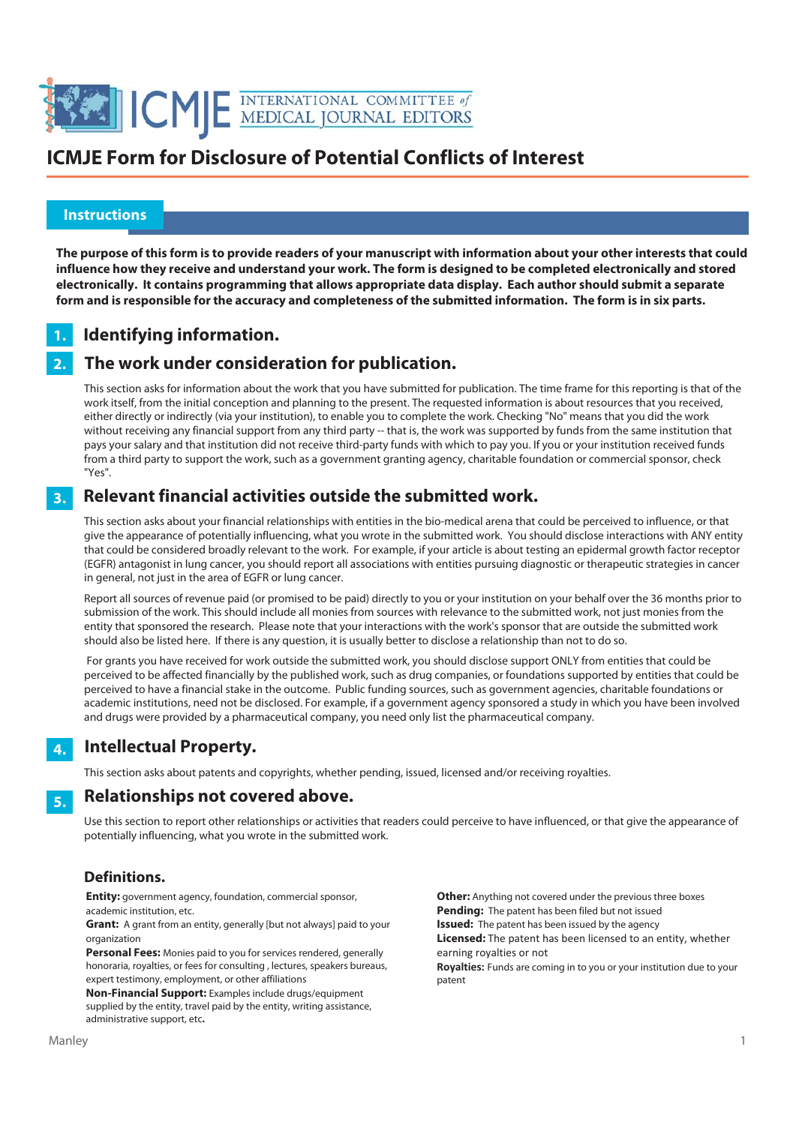

### **Instructions**

 l

> **The purpose of this form is to provide readers of your manuscript with information about your other interests that could influence how they receive and understand your work. The form is designed to be completed electronically and stored electronically. It contains programming that allows appropriate data display. Each author should submit a separate form and is responsible for the accuracy and completeness of the submitted information. The form is in six parts.**

#### **Identifying information. 1.**

#### **The work under consideration for publication. 2.**

This section asks for information about the work that you have submitted for publication. The time frame for this reporting is that of the work itself, from the initial conception and planning to the present. The requested information is about resources that you received, either directly or indirectly (via your institution), to enable you to complete the work. Checking "No" means that you did the work without receiving any financial support from any third party -- that is, the work was supported by funds from the same institution that pays your salary and that institution did not receive third-party funds with which to pay you. If you or your institution received funds from a third party to support the work, such as a government granting agency, charitable foundation or commercial sponsor, check "Yes".

#### **Relevant financial activities outside the submitted work. 3.**

This section asks about your financial relationships with entities in the bio-medical arena that could be perceived to influence, or that give the appearance of potentially influencing, what you wrote in the submitted work. You should disclose interactions with ANY entity that could be considered broadly relevant to the work. For example, if your article is about testing an epidermal growth factor receptor (EGFR) antagonist in lung cancer, you should report all associations with entities pursuing diagnostic or therapeutic strategies in cancer in general, not just in the area of EGFR or lung cancer.

Report all sources of revenue paid (or promised to be paid) directly to you or your institution on your behalf over the 36 months prior to submission of the work. This should include all monies from sources with relevance to the submitted work, not just monies from the entity that sponsored the research. Please note that your interactions with the work's sponsor that are outside the submitted work should also be listed here. If there is any question, it is usually better to disclose a relationship than not to do so.

 For grants you have received for work outside the submitted work, you should disclose support ONLY from entities that could be perceived to be affected financially by the published work, such as drug companies, or foundations supported by entities that could be perceived to have a financial stake in the outcome. Public funding sources, such as government agencies, charitable foundations or academic institutions, need not be disclosed. For example, if a government agency sponsored a study in which you have been involved and drugs were provided by a pharmaceutical company, you need only list the pharmaceutical company.

#### **Intellectual Property. 4.**

This section asks about patents and copyrights, whether pending, issued, licensed and/or receiving royalties.

#### **Relationships not covered above. 5.**

Use this section to report other relationships or activities that readers could perceive to have influenced, or that give the appearance of potentially influencing, what you wrote in the submitted work.

### **Definitions.**

**Entity:** government agency, foundation, commercial sponsor, academic institution, etc.

**Grant:** A grant from an entity, generally [but not always] paid to your organization

**Personal Fees:** Monies paid to you for services rendered, generally honoraria, royalties, or fees for consulting , lectures, speakers bureaus, expert testimony, employment, or other affiliations

**Non-Financial Support:** Examples include drugs/equipment supplied by the entity, travel paid by the entity, writing assistance, administrative support, etc**.**

**Other:** Anything not covered under the previous three boxes **Pending:** The patent has been filed but not issued **Issued:** The patent has been issued by the agency **Licensed:** The patent has been licensed to an entity, whether earning royalties or not **Royalties:** Funds are coming in to you or your institution due to your patent

Manley 1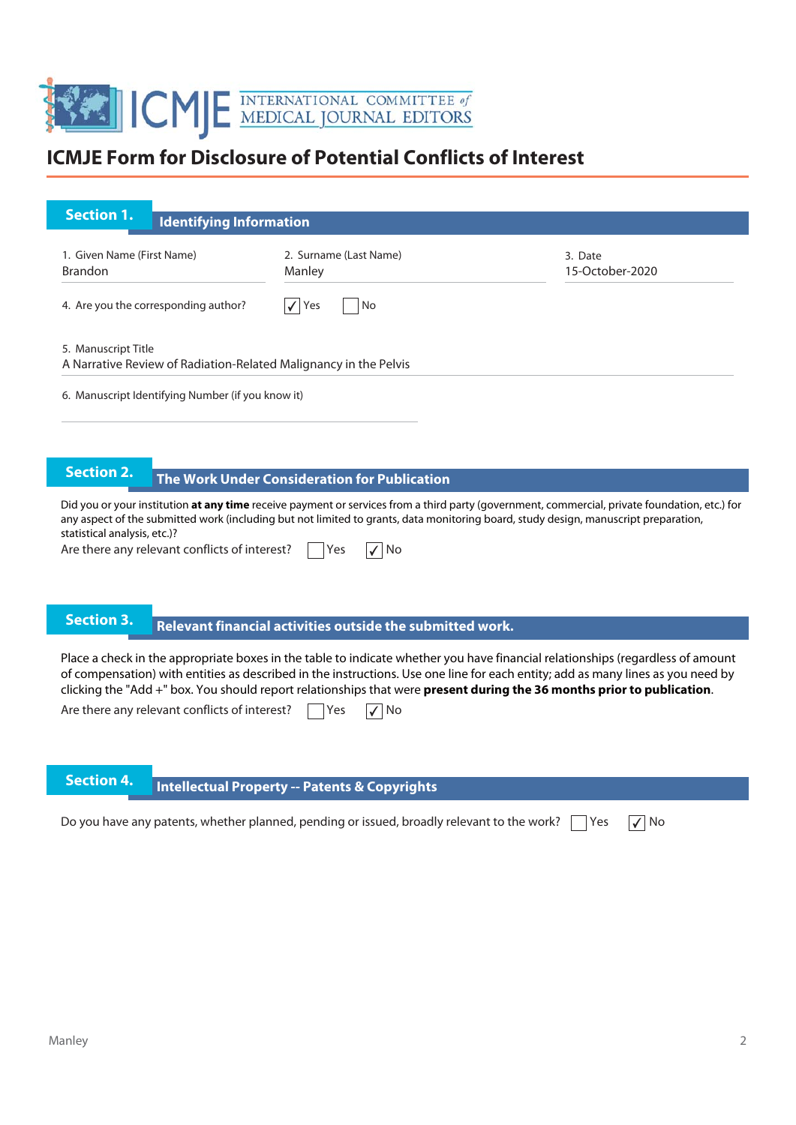

| <b>Section 1.</b>                                                                                                                                                                                                                                                                                                                                                                                                                                              | <b>Identifying Information</b>                                                             |                                  |    |  |                            |  |
|----------------------------------------------------------------------------------------------------------------------------------------------------------------------------------------------------------------------------------------------------------------------------------------------------------------------------------------------------------------------------------------------------------------------------------------------------------------|--------------------------------------------------------------------------------------------|----------------------------------|----|--|----------------------------|--|
| 1. Given Name (First Name)<br><b>Brandon</b>                                                                                                                                                                                                                                                                                                                                                                                                                   |                                                                                            | 2. Surname (Last Name)<br>Manley |    |  | 3. Date<br>15-October-2020 |  |
| 4. Are you the corresponding author?                                                                                                                                                                                                                                                                                                                                                                                                                           |                                                                                            | $\sqrt{\ }$ Yes                  | No |  |                            |  |
| 5. Manuscript Title<br>A Narrative Review of Radiation-Related Malignancy in the Pelvis                                                                                                                                                                                                                                                                                                                                                                        |                                                                                            |                                  |    |  |                            |  |
| 6. Manuscript Identifying Number (if you know it)                                                                                                                                                                                                                                                                                                                                                                                                              |                                                                                            |                                  |    |  |                            |  |
|                                                                                                                                                                                                                                                                                                                                                                                                                                                                |                                                                                            |                                  |    |  |                            |  |
| <b>Section 2.</b>                                                                                                                                                                                                                                                                                                                                                                                                                                              | <b>The Work Under Consideration for Publication</b>                                        |                                  |    |  |                            |  |
| Did you or your institution at any time receive payment or services from a third party (government, commercial, private foundation, etc.) for<br>any aspect of the submitted work (including but not limited to grants, data monitoring board, study design, manuscript preparation,<br>statistical analysis, etc.)?<br>Are there any relevant conflicts of interest?<br>No<br>Yes<br>$\sqrt{ }$                                                               |                                                                                            |                                  |    |  |                            |  |
| <b>Section 3.</b>                                                                                                                                                                                                                                                                                                                                                                                                                                              | Relevant financial activities outside the submitted work.                                  |                                  |    |  |                            |  |
| Place a check in the appropriate boxes in the table to indicate whether you have financial relationships (regardless of amount<br>of compensation) with entities as described in the instructions. Use one line for each entity; add as many lines as you need by<br>clicking the "Add +" box. You should report relationships that were present during the 36 months prior to publication.<br>Are there any relevant conflicts of interest?<br>No<br>Yes<br>✓ |                                                                                            |                                  |    |  |                            |  |
| <b>Section 4.</b>                                                                                                                                                                                                                                                                                                                                                                                                                                              | <b>Intellectual Property -- Patents &amp; Copyrights</b>                                   |                                  |    |  |                            |  |
|                                                                                                                                                                                                                                                                                                                                                                                                                                                                | Do you have any patents, whether planned, pending or issued, broadly relevant to the work? |                                  |    |  | Yes<br>No<br>$\checkmark$  |  |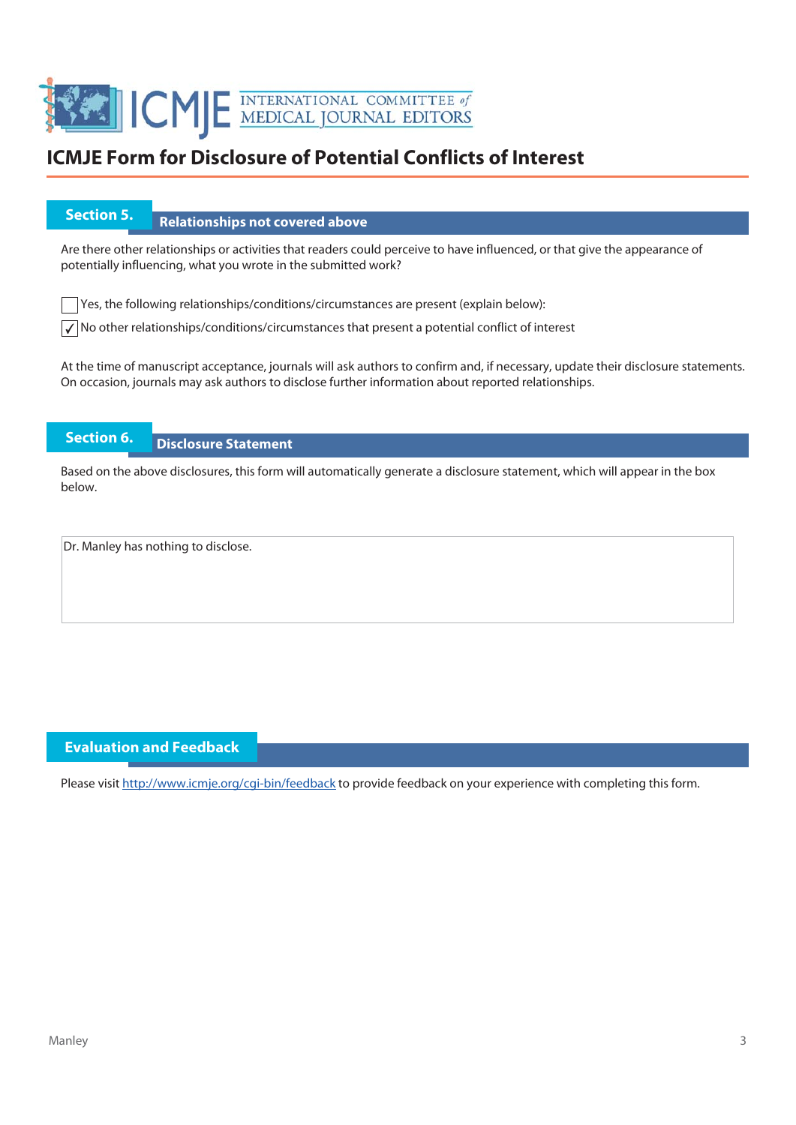

## **Section 5.** Relationships not covered above

Are there other relationships or activities that readers could perceive to have influenced, or that give the appearance of potentially influencing, what you wrote in the submitted work?

 $\Box$  Yes, the following relationships/conditions/circumstances are present (explain below):

 $\sqrt{\phantom{a}}$  No other relationships/conditions/circumstances that present a potential conflict of interest

At the time of manuscript acceptance, journals will ask authors to confirm and, if necessary, update their disclosure statements. On occasion, journals may ask authors to disclose further information about reported relationships.

## **Section 6. Disclosure Statement**

Based on the above disclosures, this form will automatically generate a disclosure statement, which will appear in the box below.

Dr. Manley has nothing to disclose.

### **Evaluation and Feedback**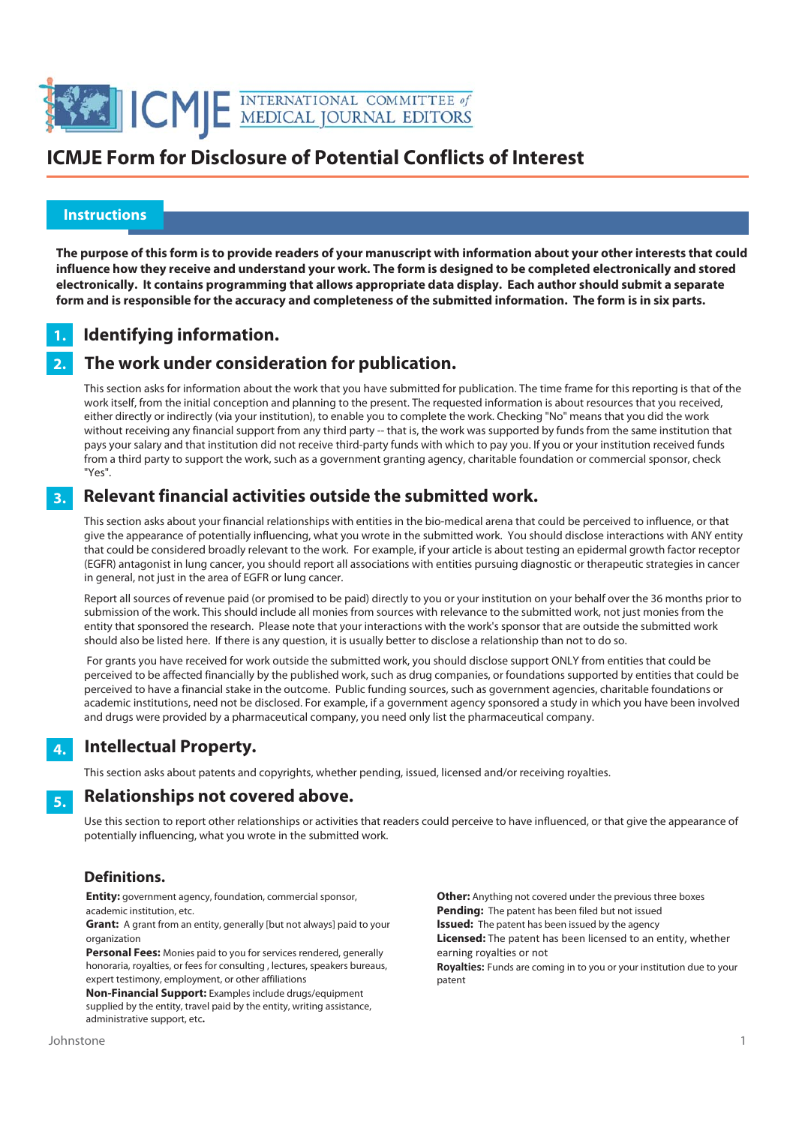

### **Instructions**

 l

> **The purpose of this form is to provide readers of your manuscript with information about your other interests that could influence how they receive and understand your work. The form is designed to be completed electronically and stored electronically. It contains programming that allows appropriate data display. Each author should submit a separate form and is responsible for the accuracy and completeness of the submitted information. The form is in six parts.**

#### **Identifying information. 1.**

#### **The work under consideration for publication. 2.**

This section asks for information about the work that you have submitted for publication. The time frame for this reporting is that of the work itself, from the initial conception and planning to the present. The requested information is about resources that you received, either directly or indirectly (via your institution), to enable you to complete the work. Checking "No" means that you did the work without receiving any financial support from any third party -- that is, the work was supported by funds from the same institution that pays your salary and that institution did not receive third-party funds with which to pay you. If you or your institution received funds from a third party to support the work, such as a government granting agency, charitable foundation or commercial sponsor, check "Yes".

#### **Relevant financial activities outside the submitted work. 3.**

This section asks about your financial relationships with entities in the bio-medical arena that could be perceived to influence, or that give the appearance of potentially influencing, what you wrote in the submitted work. You should disclose interactions with ANY entity that could be considered broadly relevant to the work. For example, if your article is about testing an epidermal growth factor receptor (EGFR) antagonist in lung cancer, you should report all associations with entities pursuing diagnostic or therapeutic strategies in cancer in general, not just in the area of EGFR or lung cancer.

Report all sources of revenue paid (or promised to be paid) directly to you or your institution on your behalf over the 36 months prior to submission of the work. This should include all monies from sources with relevance to the submitted work, not just monies from the entity that sponsored the research. Please note that your interactions with the work's sponsor that are outside the submitted work should also be listed here. If there is any question, it is usually better to disclose a relationship than not to do so.

 For grants you have received for work outside the submitted work, you should disclose support ONLY from entities that could be perceived to be affected financially by the published work, such as drug companies, or foundations supported by entities that could be perceived to have a financial stake in the outcome. Public funding sources, such as government agencies, charitable foundations or academic institutions, need not be disclosed. For example, if a government agency sponsored a study in which you have been involved and drugs were provided by a pharmaceutical company, you need only list the pharmaceutical company.

#### **Intellectual Property. 4.**

This section asks about patents and copyrights, whether pending, issued, licensed and/or receiving royalties.

#### **Relationships not covered above. 5.**

Use this section to report other relationships or activities that readers could perceive to have influenced, or that give the appearance of potentially influencing, what you wrote in the submitted work.

### **Definitions.**

**Entity:** government agency, foundation, commercial sponsor, academic institution, etc.

**Grant:** A grant from an entity, generally [but not always] paid to your organization

**Personal Fees:** Monies paid to you for services rendered, generally honoraria, royalties, or fees for consulting , lectures, speakers bureaus, expert testimony, employment, or other affiliations

**Non-Financial Support:** Examples include drugs/equipment supplied by the entity, travel paid by the entity, writing assistance, administrative support, etc**.**

**Other:** Anything not covered under the previous three boxes **Pending:** The patent has been filed but not issued **Issued:** The patent has been issued by the agency **Licensed:** The patent has been licensed to an entity, whether earning royalties or not **Royalties:** Funds are coming in to you or your institution due to your patent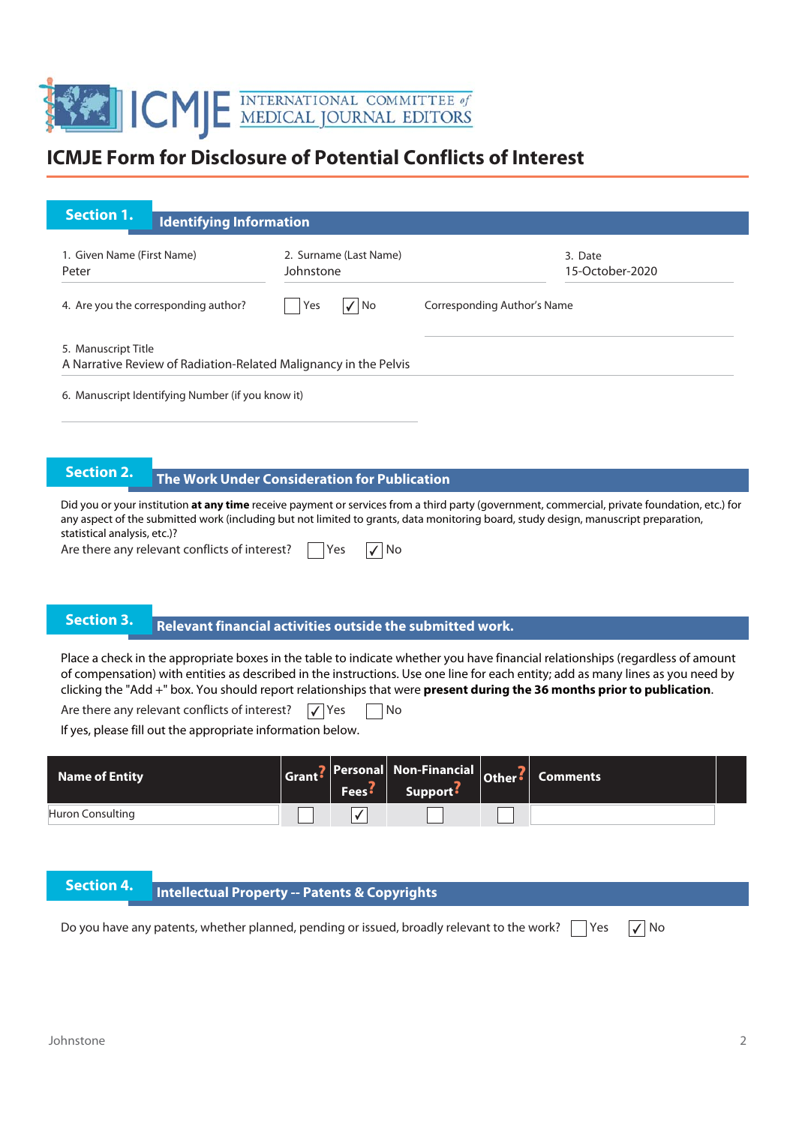

| <b>Section 1.</b><br><b>Identifying Information</b>                                                                                                                                                                                                                                                                                                                                          |                                                           |                                                                                                                                                                                                                                                                                                                                                                                             |  |  |  |  |  |
|----------------------------------------------------------------------------------------------------------------------------------------------------------------------------------------------------------------------------------------------------------------------------------------------------------------------------------------------------------------------------------------------|-----------------------------------------------------------|---------------------------------------------------------------------------------------------------------------------------------------------------------------------------------------------------------------------------------------------------------------------------------------------------------------------------------------------------------------------------------------------|--|--|--|--|--|
| 1. Given Name (First Name)<br>Peter                                                                                                                                                                                                                                                                                                                                                          | 2. Surname (Last Name)<br>Johnstone                       | 3. Date<br>15-October-2020                                                                                                                                                                                                                                                                                                                                                                  |  |  |  |  |  |
| 4. Are you the corresponding author?                                                                                                                                                                                                                                                                                                                                                         | $\checkmark$<br>No<br>Yes                                 | Corresponding Author's Name                                                                                                                                                                                                                                                                                                                                                                 |  |  |  |  |  |
| 5. Manuscript Title<br>A Narrative Review of Radiation-Related Malignancy in the Pelvis                                                                                                                                                                                                                                                                                                      |                                                           |                                                                                                                                                                                                                                                                                                                                                                                             |  |  |  |  |  |
| 6. Manuscript Identifying Number (if you know it)                                                                                                                                                                                                                                                                                                                                            |                                                           |                                                                                                                                                                                                                                                                                                                                                                                             |  |  |  |  |  |
|                                                                                                                                                                                                                                                                                                                                                                                              |                                                           |                                                                                                                                                                                                                                                                                                                                                                                             |  |  |  |  |  |
| <b>Section 2.</b>                                                                                                                                                                                                                                                                                                                                                                            | The Work Under Consideration for Publication              |                                                                                                                                                                                                                                                                                                                                                                                             |  |  |  |  |  |
| Did you or your institution at any time receive payment or services from a third party (government, commercial, private foundation, etc.) for<br>any aspect of the submitted work (including but not limited to grants, data monitoring board, study design, manuscript preparation,<br>statistical analysis, etc.)?<br>Are there any relevant conflicts of interest?<br>$\sqrt{ NQ}$<br>Yes |                                                           |                                                                                                                                                                                                                                                                                                                                                                                             |  |  |  |  |  |
| <b>Section 3.</b>                                                                                                                                                                                                                                                                                                                                                                            | Relevant financial activities outside the submitted work. |                                                                                                                                                                                                                                                                                                                                                                                             |  |  |  |  |  |
|                                                                                                                                                                                                                                                                                                                                                                                              |                                                           | Place a check in the appropriate boxes in the table to indicate whether you have financial relationships (regardless of amount<br>of compensation) with entities as described in the instructions. Use one line for each entity; add as many lines as you need by<br>clicking the "Add +" box. You should report relationships that were present during the 36 months prior to publication. |  |  |  |  |  |
| Are there any relevant conflicts of interest?                                                                                                                                                                                                                                                                                                                                                | Yes<br>No                                                 |                                                                                                                                                                                                                                                                                                                                                                                             |  |  |  |  |  |
| If yes, please fill out the appropriate information below.                                                                                                                                                                                                                                                                                                                                   |                                                           |                                                                                                                                                                                                                                                                                                                                                                                             |  |  |  |  |  |
| <b>Name of Entity</b>                                                                                                                                                                                                                                                                                                                                                                        | <b>Personal</b><br>Grant <sup>?</sup><br>Fees?            | <b>Non-Financial</b><br><b>Comments</b><br>Other:<br>Support:                                                                                                                                                                                                                                                                                                                               |  |  |  |  |  |
| <b>Huron Consulting</b>                                                                                                                                                                                                                                                                                                                                                                      | $\blacktriangledown$                                      |                                                                                                                                                                                                                                                                                                                                                                                             |  |  |  |  |  |
|                                                                                                                                                                                                                                                                                                                                                                                              |                                                           |                                                                                                                                                                                                                                                                                                                                                                                             |  |  |  |  |  |
| <b>Section 4.</b>                                                                                                                                                                                                                                                                                                                                                                            | <b>Intellectual Property -- Patents &amp; Copyrights</b>  |                                                                                                                                                                                                                                                                                                                                                                                             |  |  |  |  |  |

Do you have any patents, whether planned, pending or issued, broadly relevant to the work?  $\Box$  Yes  $\Box$  No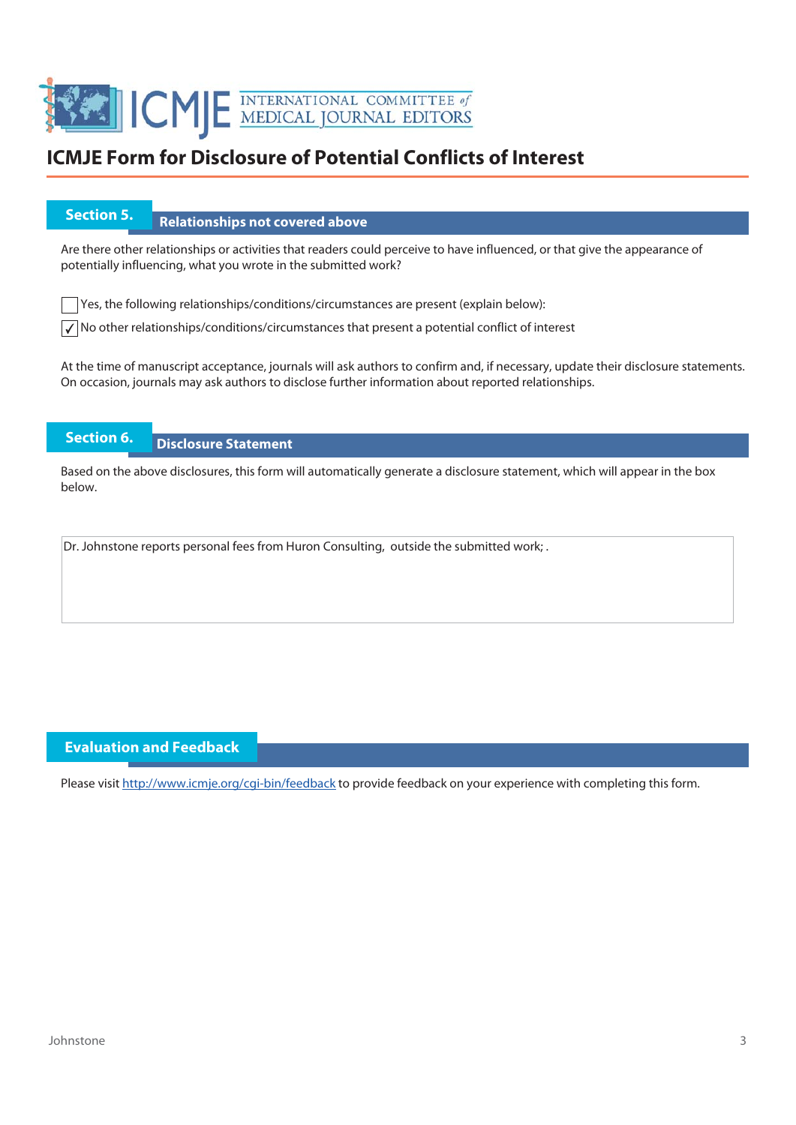

## **Section 5.** Relationships not covered above

Are there other relationships or activities that readers could perceive to have influenced, or that give the appearance of potentially influencing, what you wrote in the submitted work?

 $\Box$  Yes, the following relationships/conditions/circumstances are present (explain below):

 $\sqrt{\phantom{a}}$  No other relationships/conditions/circumstances that present a potential conflict of interest

At the time of manuscript acceptance, journals will ask authors to confirm and, if necessary, update their disclosure statements. On occasion, journals may ask authors to disclose further information about reported relationships.

## **Section 6. Disclosure Statement**

Based on the above disclosures, this form will automatically generate a disclosure statement, which will appear in the box below.

Dr. Johnstone reports personal fees from Huron Consulting, outside the submitted work; .

### **Evaluation and Feedback**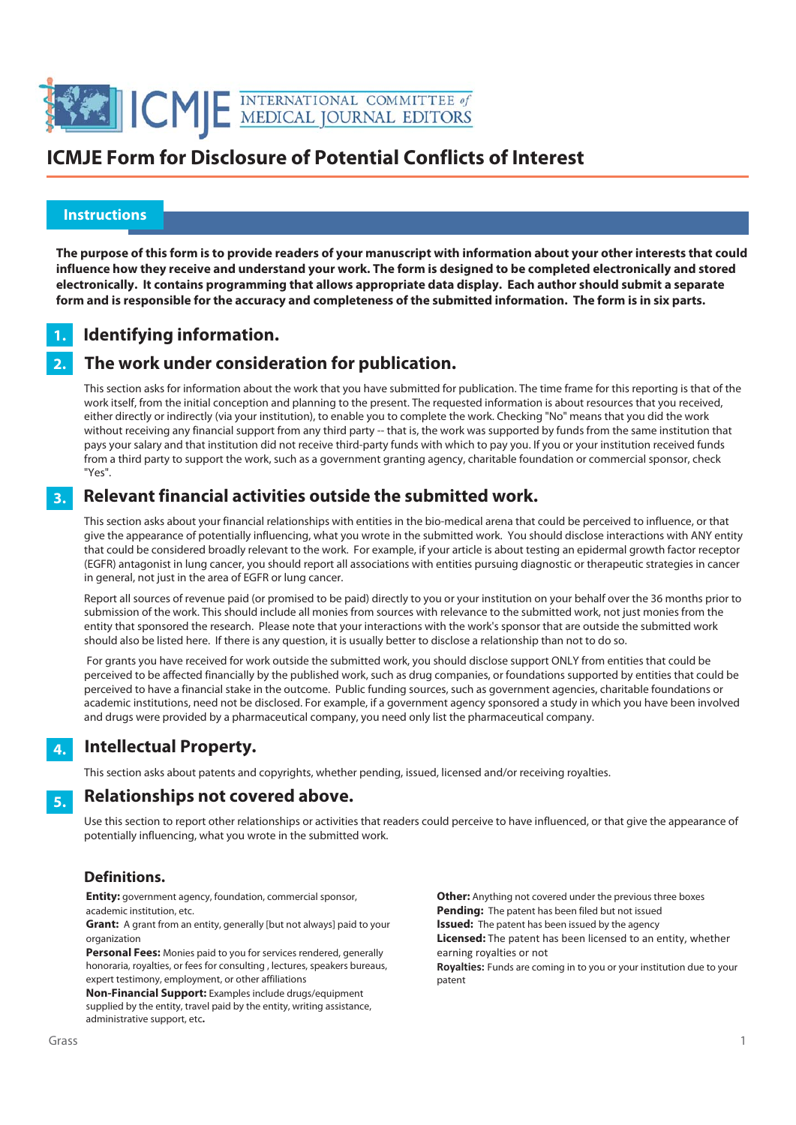

### **Instructions**

 l

> **The purpose of this form is to provide readers of your manuscript with information about your other interests that could influence how they receive and understand your work. The form is designed to be completed electronically and stored electronically. It contains programming that allows appropriate data display. Each author should submit a separate form and is responsible for the accuracy and completeness of the submitted information. The form is in six parts.**

#### **Identifying information. 1.**

#### **The work under consideration for publication. 2.**

This section asks for information about the work that you have submitted for publication. The time frame for this reporting is that of the work itself, from the initial conception and planning to the present. The requested information is about resources that you received, either directly or indirectly (via your institution), to enable you to complete the work. Checking "No" means that you did the work without receiving any financial support from any third party -- that is, the work was supported by funds from the same institution that pays your salary and that institution did not receive third-party funds with which to pay you. If you or your institution received funds from a third party to support the work, such as a government granting agency, charitable foundation or commercial sponsor, check "Yes".

#### **Relevant financial activities outside the submitted work. 3.**

This section asks about your financial relationships with entities in the bio-medical arena that could be perceived to influence, or that give the appearance of potentially influencing, what you wrote in the submitted work. You should disclose interactions with ANY entity that could be considered broadly relevant to the work. For example, if your article is about testing an epidermal growth factor receptor (EGFR) antagonist in lung cancer, you should report all associations with entities pursuing diagnostic or therapeutic strategies in cancer in general, not just in the area of EGFR or lung cancer.

Report all sources of revenue paid (or promised to be paid) directly to you or your institution on your behalf over the 36 months prior to submission of the work. This should include all monies from sources with relevance to the submitted work, not just monies from the entity that sponsored the research. Please note that your interactions with the work's sponsor that are outside the submitted work should also be listed here. If there is any question, it is usually better to disclose a relationship than not to do so.

 For grants you have received for work outside the submitted work, you should disclose support ONLY from entities that could be perceived to be affected financially by the published work, such as drug companies, or foundations supported by entities that could be perceived to have a financial stake in the outcome. Public funding sources, such as government agencies, charitable foundations or academic institutions, need not be disclosed. For example, if a government agency sponsored a study in which you have been involved and drugs were provided by a pharmaceutical company, you need only list the pharmaceutical company.

#### **Intellectual Property. 4.**

This section asks about patents and copyrights, whether pending, issued, licensed and/or receiving royalties.

#### **Relationships not covered above. 5.**

Use this section to report other relationships or activities that readers could perceive to have influenced, or that give the appearance of potentially influencing, what you wrote in the submitted work.

### **Definitions.**

**Entity:** government agency, foundation, commercial sponsor, academic institution, etc.

**Grant:** A grant from an entity, generally [but not always] paid to your organization

**Personal Fees:** Monies paid to you for services rendered, generally honoraria, royalties, or fees for consulting , lectures, speakers bureaus, expert testimony, employment, or other affiliations

**Non-Financial Support:** Examples include drugs/equipment supplied by the entity, travel paid by the entity, writing assistance, administrative support, etc**.**

**Other:** Anything not covered under the previous three boxes **Pending:** The patent has been filed but not issued **Issued:** The patent has been issued by the agency **Licensed:** The patent has been licensed to an entity, whether earning royalties or not **Royalties:** Funds are coming in to you or your institution due to your patent

Grass 1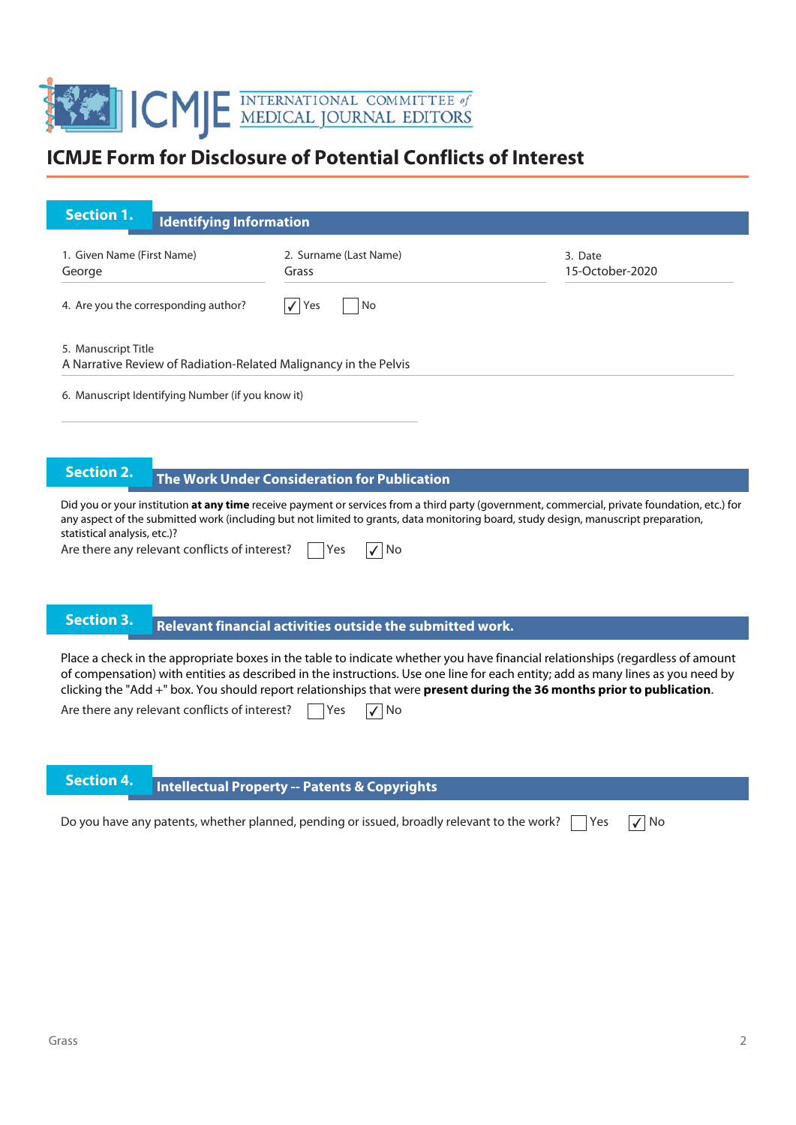

| <b>Section 1.</b>                                                                                                                                                                                                                                                                                                                                                                                                                                         | <b>Identifying Information</b>                                                             |                                 |    |                            |                           |  |  |
|-----------------------------------------------------------------------------------------------------------------------------------------------------------------------------------------------------------------------------------------------------------------------------------------------------------------------------------------------------------------------------------------------------------------------------------------------------------|--------------------------------------------------------------------------------------------|---------------------------------|----|----------------------------|---------------------------|--|--|
| 1. Given Name (First Name)<br>George                                                                                                                                                                                                                                                                                                                                                                                                                      |                                                                                            | 2. Surname (Last Name)<br>Grass |    | 3. Date<br>15-October-2020 |                           |  |  |
| 4. Are you the corresponding author?                                                                                                                                                                                                                                                                                                                                                                                                                      |                                                                                            | $\sqrt{Y}$                      | No |                            |                           |  |  |
| 5. Manuscript Title<br>A Narrative Review of Radiation-Related Malignancy in the Pelvis                                                                                                                                                                                                                                                                                                                                                                   |                                                                                            |                                 |    |                            |                           |  |  |
| 6. Manuscript Identifying Number (if you know it)                                                                                                                                                                                                                                                                                                                                                                                                         |                                                                                            |                                 |    |                            |                           |  |  |
|                                                                                                                                                                                                                                                                                                                                                                                                                                                           |                                                                                            |                                 |    |                            |                           |  |  |
| <b>Section 2.</b>                                                                                                                                                                                                                                                                                                                                                                                                                                         |                                                                                            |                                 |    |                            |                           |  |  |
| The Work Under Consideration for Publication<br>Did you or your institution at any time receive payment or services from a third party (government, commercial, private foundation, etc.) for<br>any aspect of the submitted work (including but not limited to grants, data monitoring board, study design, manuscript preparation,<br>statistical analysis, etc.)?<br>Are there any relevant conflicts of interest?<br>No<br>Yes                        |                                                                                            |                                 |    |                            |                           |  |  |
| <b>Section 3.</b>                                                                                                                                                                                                                                                                                                                                                                                                                                         | Relevant financial activities outside the submitted work.                                  |                                 |    |                            |                           |  |  |
| Place a check in the appropriate boxes in the table to indicate whether you have financial relationships (regardless of amount<br>of compensation) with entities as described in the instructions. Use one line for each entity; add as many lines as you need by<br>clicking the "Add +" box. You should report relationships that were present during the 36 months prior to publication.<br>Are there any relevant conflicts of interest?<br>No<br>Yes |                                                                                            |                                 |    |                            |                           |  |  |
| <b>Section 4.</b>                                                                                                                                                                                                                                                                                                                                                                                                                                         | <b>Intellectual Property -- Patents &amp; Copyrights</b>                                   |                                 |    |                            |                           |  |  |
|                                                                                                                                                                                                                                                                                                                                                                                                                                                           | Do you have any patents, whether planned, pending or issued, broadly relevant to the work? |                                 |    |                            | Yes<br>$\checkmark$<br>No |  |  |